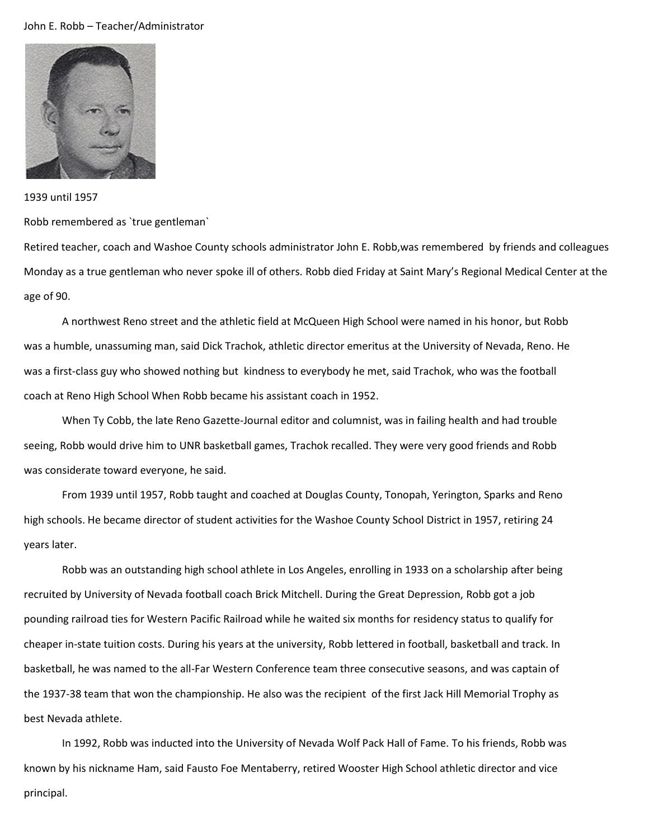## John E. Robb – Teacher/Administrator



## 1939 until 1957

Robb remembered as `true gentleman`

Retired teacher, coach and Washoe County schools administrator John E. Robb,was remembered by friends and colleagues Monday as a true gentleman who never spoke ill of others. Robb died Friday at Saint Mary's Regional Medical Center at the age of 90.

A northwest Reno street and the athletic field at McQueen High School were named in his honor, but Robb was a humble, unassuming man, said Dick Trachok, athletic director emeritus at the University of Nevada, Reno. He was a first-class guy who showed nothing but kindness to everybody he met, said Trachok, who was the football coach at Reno High School When Robb became his assistant coach in 1952.

When Ty Cobb, the late Reno Gazette-Journal editor and columnist, was in failing health and had trouble seeing, Robb would drive him to UNR basketball games, Trachok recalled. They were very good friends and Robb was considerate toward everyone, he said.

From 1939 until 1957, Robb taught and coached at Douglas County, Tonopah, Yerington, Sparks and Reno high schools. He became director of student activities for the Washoe County School District in 1957, retiring 24 years later.

Robb was an outstanding high school athlete in Los Angeles, enrolling in 1933 on a scholarship after being recruited by University of Nevada football coach Brick Mitchell. During the Great Depression, Robb got a job pounding railroad ties for Western Pacific Railroad while he waited six months for residency status to qualify for cheaper in-state tuition costs. During his years at the university, Robb lettered in football, basketball and track. In basketball, he was named to the all-Far Western Conference team three consecutive seasons, and was captain of the 1937-38 team that won the championship. He also was the recipient of the first Jack Hill Memorial Trophy as best Nevada athlete.

In 1992, Robb was inducted into the University of Nevada Wolf Pack Hall of Fame. To his friends, Robb was known by his nickname Ham, said Fausto Foe Mentaberry, retired Wooster High School athletic director and vice principal.